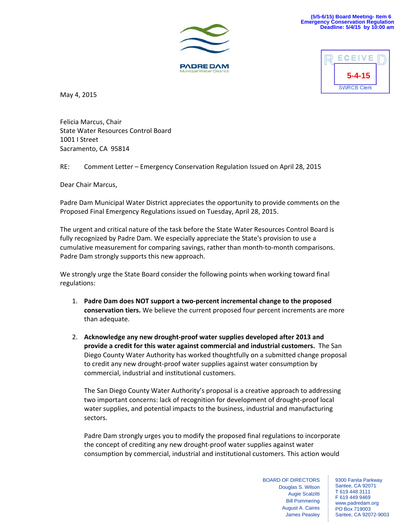





May 4, 2015

Felicia Marcus, Chair State Water Resources Control Board 1001 I Street Sacramento, CA 95814

RE: Comment Letter – Emergency Conservation Regulation Issued on April 28, 2015

Dear Chair Marcus,

Padre Dam Municipal Water District appreciates the opportunity to provide comments on the Proposed Final Emergency Regulations issued on Tuesday, April 28, 2015.

The urgent and critical nature of the task before the State Water Resources Control Board is fully recognized by Padre Dam. We especially appreciate the State's provision to use a cumulative measurement for comparing savings, rather than month‐to‐month comparisons. Padre Dam strongly supports this new approach.

We strongly urge the State Board consider the following points when working toward final regulations:

- 1. **Padre Dam does NOT support a two‐percent incremental change to the proposed conservation tiers.** We believe the current proposed four percent increments are more than adequate.
- 2. **Acknowledge any new drought‐proof water supplies developed after 2013 and provide a credit for this water against commercial and industrial customers.** The San Diego County Water Authority has worked thoughtfully on a submitted change proposal to credit any new drought‐proof water supplies against water consumption by commercial, industrial and institutional customers.

The San Diego County Water Authority's proposal is a creative approach to addressing two important concerns: lack of recognition for development of drought‐proof local water supplies, and potential impacts to the business, industrial and manufacturing sectors.

Padre Dam strongly urges you to modify the proposed final regulations to incorporate the concept of crediting any new drought‐proof water supplies against water consumption by commercial, industrial and institutional customers. This action would

> BOARD OF DIRECTORS Douglas S. Wilson Augie Scalzitti Bill Pommering August A. Caires James Peasley

9300 Fanita Parkway Santee, CA 92071 T 619 448 3111 F 619 449 9469 www.padredam.org PO Box 719003 Santee, CA 92072-9003